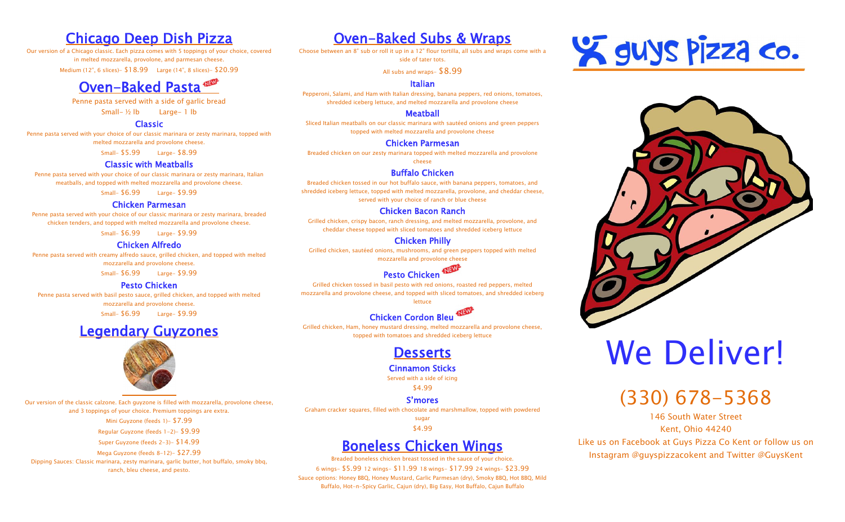## Chicago Deep Dish Pizza

Our version of a Chicago classic. Each pizza comes with 5 toppings of your choice, covered in melted mozzarella, provolone, and parmesan cheese.

Medium (12", 6 slices)- \$18.99 Large (14", 8 slices)- \$20.99

## Oven-Baked Pasta

Penne pasta served with a side of garlic bread

Small- ½ lb Large- 1 lb

#### Classic

Penne pasta served with your choice of our classic marinara or zesty marinara, topped with melted mozzarella and provolone cheese.

Small- \$5.99 Large- \$8.99

#### Classic with Meatballs

Penne pasta served with your choice of our classic marinara or zesty marinara, Italian meatballs, and topped with melted mozzarella and provolone cheese.

Small- \$6.99 Large- \$9.99

#### Chicken Parmesan

Penne pasta served with your choice of our classic marinara or zesty marinara, breaded chicken tenders, and topped with melted mozzarella and provolone cheese.

Small- \$6.99 Large- \$9.99

#### Chicken Alfredo

Penne pasta served with creamy alfredo sauce, grilled chicken, and topped with melted mozzarella and provolone cheese.

Small- \$6.99 Large- \$9.99

#### Pesto Chicken

Penne pasta served with basil pesto sauce, grilled chicken, and topped with melted mozzarella and provolone cheese.

Small- \$6.99 Large- \$9.99

## Legendary Guyzones



Our version of the classic calzone. Each guyzone is filled with mozzarella, provolone cheese, and 3 toppings of your choice. Premium toppings are extra.

#### NEW Pesto Chicken

Mini Guyzone (feeds 1)- \$7.99

Regular Guyzone (feeds 1-2)- \$9.99

Super Guyzone (feeds 2-3)- \$14.99

Mega Guyzone (feeds 8-12)- \$27.99

Dipping Sauces: Classic marinara, zesty marinara, garlic butter, hot buffalo, smoky bbq, ranch, bleu cheese, and pesto.

## Oven-Baked Subs & Wraps

Choose between an 8" sub or roll it up in a 12" flour tortilla, all subs and wraps come with a side of tater tots.

All subs and wraps-  $$8.99$ 

#### Italian

Pepperoni, Salami, and Ham with Italian dressing, banana peppers, red onions, tomatoes, shredded iceberg lettuce, and melted mozzarella and provolone cheese

#### Meatball

Sliced Italian meatballs on our classic marinara with sautéed onions and green peppers topped with melted mozzarella and provolone cheese

#### Chicken Parmesan

Breaded chicken on our zesty marinara topped with melted mozzarella and provolone cheese

#### Buffalo Chicken

Breaded chicken tossed in our hot buffalo sauce, with banana peppers, tomatoes, and shredded iceberg lettuce, topped with melted mozzarella, provolone, and cheddar cheese, served with your choice of ranch or blue cheese

#### Chicken Bacon Ranch

Grilled chicken, crispy bacon, ranch dressing, and melted mozzarella, provolone, and cheddar cheese topped with sliced tomatoes and shredded iceberg lettuce

#### Chicken Philly

Grilled chicken, sautéed onions, mushrooms, and green peppers topped with melted mozzarella and provolone cheese

Grilled chicken tossed in basil pesto with red onions, roasted red peppers, melted mozzarella and provolone cheese, and topped with sliced tomatoes, and shredded iceberg lettuce



## Chicken Cordon Bleu

Grilled chicken, Ham, honey mustard dressing, melted mozzarella and provolone cheese, topped with tomatoes and shredded iceberg lettuce

## **Desserts**

### Cinnamon Sticks

Served with a side of icing

\$4.99

#### S'mores

Graham cracker squares, filled with chocolate and marshmallow, topped with powdered

sugar \$4.99

## Boneless Chicken Wings

Breaded boneless chicken breast tossed in the sauce of your choice. 6 wings- \$5.99 12 wings- \$11.99 18 wings- \$17.99 24 wings- \$23.99 Sauce options: Honey BBQ, Honey Mustard, Garlic Parmesan (dry), Smoky BBQ, Hot BBQ, Mild Buffalo, Hot-n-Spicy Garlic, Cajun (dry), Big Easy, Hot Buffalo, Cajun Buffalo





# Y GUYS Pizza co.

# We Deliver!

## (330) 678-5368

146 South Water Street Kent, Ohio 44240 Like us on Facebook at Guys Pizza Co Kent or follow us on Instagram @guyspizzacokent and Twitter @GuysKent